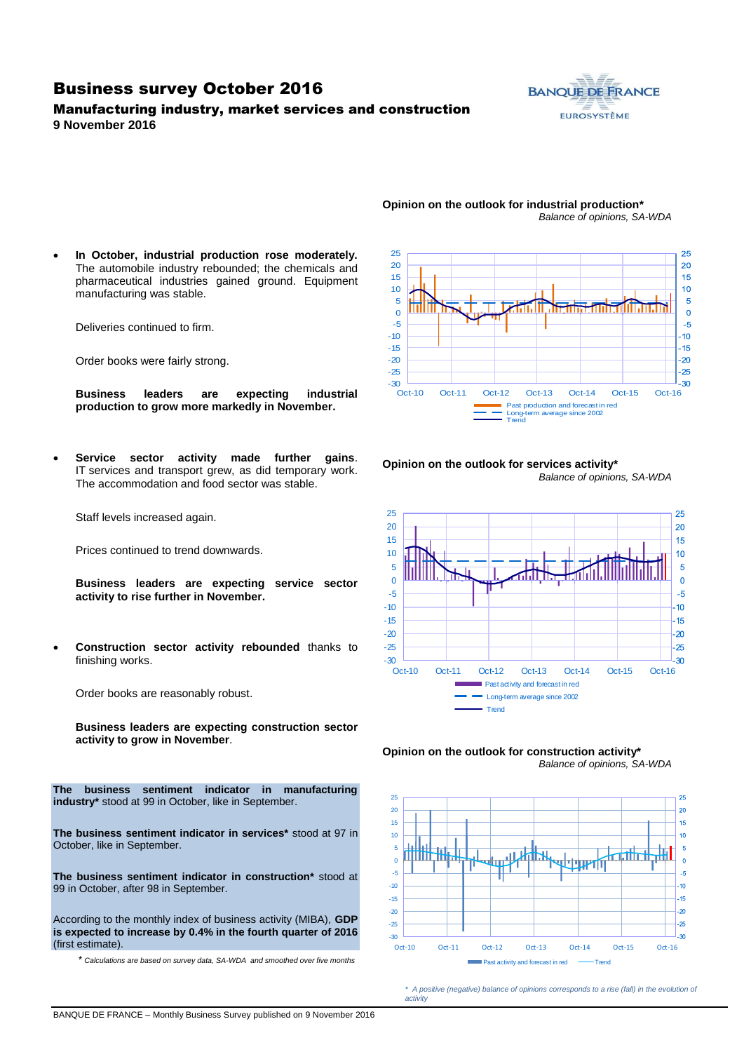### Business survey October 2016

Manufacturing industry, market services and construction **9 November 2016**



#### **Opinion on the outlook for industrial production\*** *Balance of opinions, SA-WDA*

 **In October, industrial production rose moderately.**  The automobile industry rebounded; the chemicals and pharmaceutical industries gained ground. Equipment manufacturing was stable.

Deliveries continued to firm.

Order books were fairly strong.

**Business leaders are expecting industrial production to grow more markedly in November.**

 **Service sector activity made further gains**. IT services and transport grew, as did temporary work. The accommodation and food sector was stable.

Staff levels increased again.

Prices continued to trend downwards.

**Business leaders are expecting service sector activity to rise further in November.**

 **Construction sector activity rebounded** thanks to finishing works.

Order books are reasonably robust.

**Business leaders are expecting construction sector activity to grow in November**.

**The business sentiment indicator in manufacturing industry\*** stood at 99 in October, like in September.

**The business sentiment indicator in services\*** stood at 97 in October, like in September.

**The business sentiment indicator in construction\*** stood at 99 in October, after 98 in September.

According to the monthly index of business activity (MIBA), **GDP is expected to increase by 0.4% in the fourth quarter of 2016** (first estimate).

\* *Calculations are based on survey data, SA-WDA and smoothed over five months*



**Opinion on the outlook for services activity\*** *Balance of opinions, SA-WDA*







*\* A positive (negative) balance of opinions corresponds to a rise (fall) in the evolution of activity*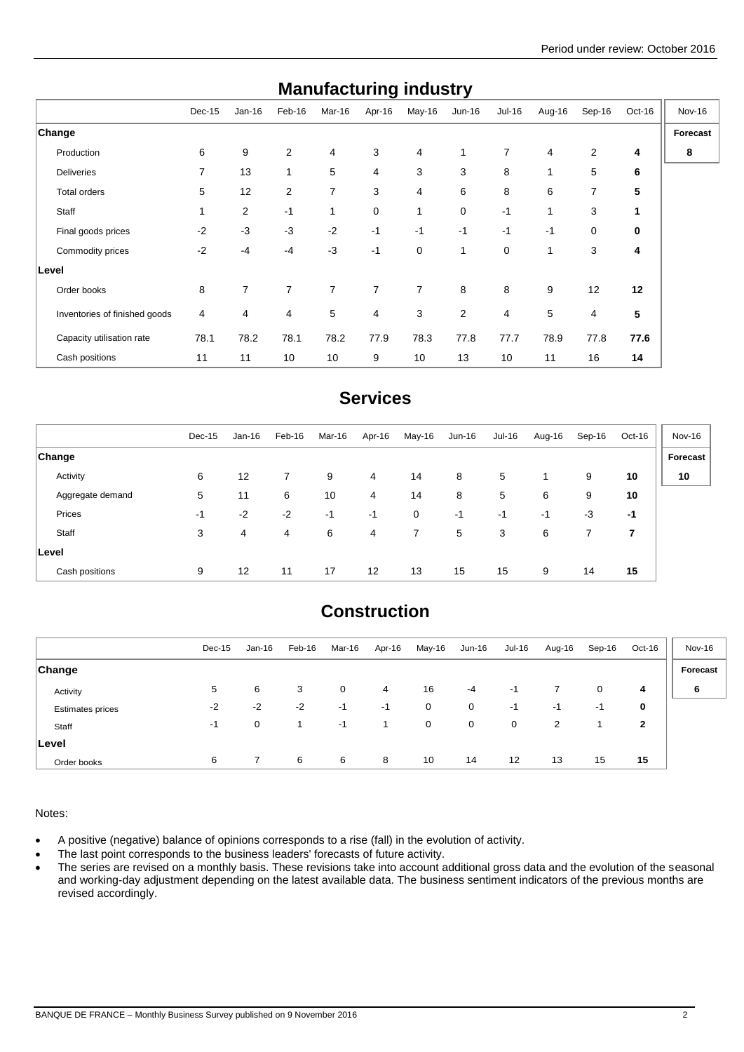| manulautunny muusti y         |          |                |                |              |        |                |                |                |        |                |             |               |
|-------------------------------|----------|----------------|----------------|--------------|--------|----------------|----------------|----------------|--------|----------------|-------------|---------------|
|                               | $Dec-15$ | $Jan-16$       | Feb-16         | Mar-16       | Apr-16 | May-16         | $Jun-16$       | Jul-16         | Aug-16 | Sep-16         | Oct-16      | <b>Nov-16</b> |
| <b>Change</b>                 |          |                |                |              |        |                |                |                |        |                |             | Forecast      |
| Production                    | 6        | 9              | $\overline{2}$ | 4            | 3      | 4              |                | $\overline{7}$ | 4      | $\overline{2}$ | 4           | 8             |
| <b>Deliveries</b>             | 7        | 13             | 1              | 5            | 4      | 3              | 3              | 8              | 1      | 5              | 6           |               |
| Total orders                  | 5        | 12             | $\overline{2}$ | 7            | 3      | 4              | 6              | 8              | 6      | 7              | 5           |               |
| Staff                         | 1        | $\overline{2}$ | $-1$           | $\mathbf{1}$ | 0      | 1              | 0              | $-1$           | 1      | 3              | $\mathbf 1$ |               |
| Final goods prices            | $-2$     | $-3$           | $-3$           | $-2$         | $-1$   | $-1$           | $-1$           | $-1$           | $-1$   | 0              | 0           |               |
| Commodity prices              | $-2$     | $-4$           | $-4$           | $-3$         | $-1$   | 0              | $\mathbf{1}$   | 0              | 1      | 3              | 4           |               |
| Level                         |          |                |                |              |        |                |                |                |        |                |             |               |
| Order books                   | 8        | $\overline{7}$ | $\overline{7}$ | 7            | 7      | $\overline{7}$ | 8              | 8              | 9      | 12             | 12          |               |
| Inventories of finished goods | 4        | 4              | 4              | 5            | 4      | 3              | $\overline{2}$ | 4              | 5      | 4              | 5           |               |
| Capacity utilisation rate     | 78.1     | 78.2           | 78.1           | 78.2         | 77.9   | 78.3           | 77.8           | 77.7           | 78.9   | 77.8           | 77.6        |               |
| Cash positions                | 11       | 11             | 10             | 10           | 9      | 10             | 13             | 10             | 11     | 16             | 14          |               |

## **Manufacturing industry**

### **Services**

|                  | Dec-15 | Jan-16 | Feb-16         | Mar-16 | Apr-16            | May-16         | Jun-16 | Jul-16 | Aug-16 | Sep-16 | Oct-16 | Nov-16   |
|------------------|--------|--------|----------------|--------|-------------------|----------------|--------|--------|--------|--------|--------|----------|
| <b>Change</b>    |        |        |                |        |                   |                |        |        |        |        |        | Forecast |
| Activity         | 6      | 12     | $\overline{7}$ | 9      | 4                 | 14             | 8      | 5      |        | 9      | 10     | 10       |
| Aggregate demand | 5      | 11     | 6              | 10     | 4                 | 14             | 8      | 5      | 6      | 9      | 10     |          |
| Prices           | -1     | $-2$   | $-2$           | $-1$   | $-1$              | 0              | -1     | -1     | -1     | $-3$   | -1     |          |
| Staff            | 3      | 4      | 4              | 6      | 4                 | $\overline{7}$ | 5      | 3      | 6      |        | 7      |          |
| <b>Level</b>     |        |        |                |        |                   |                |        |        |        |        |        |          |
| Cash positions   | 9      | 12     | 11             | 17     | $12 \overline{ }$ | 13             | 15     | 15     | 9      | 14     | 15     |          |

# **Construction**

|                         | $Dec-15$ | $Jan-16$ | Feb-16 | Mar-16 | Apr-16 | May-16 | Jun-16 | Jul-16 | Aug-16 | Sep-16 | Oct-16 | Nov-16   |
|-------------------------|----------|----------|--------|--------|--------|--------|--------|--------|--------|--------|--------|----------|
| <b>Change</b>           |          |          |        |        |        |        |        |        |        |        |        | Forecast |
| Activity                | 5        | 6        | 3      | 0      | 4      | 16     | $-4$   | $-1$   |        | 0      | 4      | 6        |
| <b>Estimates prices</b> | $-2$     | $-2$     | $-2$   | -1     | $-1$   | 0      | 0      | $-1$   | $-1$   | -1     | 0      |          |
| Staff                   | -1       | 0        |        | -1     |        | 0      | 0      | 0      | 2      |        | 2      |          |
| Level                   |          |          |        |        |        |        |        |        |        |        |        |          |
| Order books             | 6        |          | 6      | 6      | 8      | 10     | 14     | 12     | 13     | 15     | 15     |          |

Notes:

A positive (negative) balance of opinions corresponds to a rise (fall) in the evolution of activity.

• The last point corresponds to the business leaders' forecasts of future activity.

• The series are revised on a monthly basis. These revisions take into account additional gross data and the evolution of the seasonal and working-day adjustment depending on the latest available data. The business sentiment indicators of the previous months are revised accordingly.